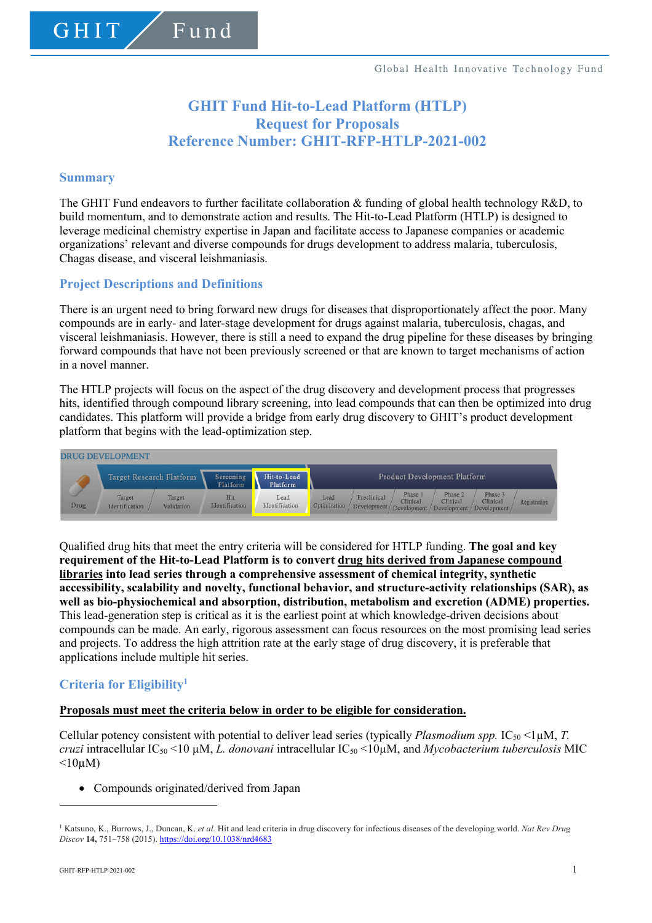# **GHIT Fund Hit-to-Lead Platform (HTLP) Request for Proposals Reference Number: GHIT-RFP-HTLP-2021-002**

### **Summary**

GHIT

The GHIT Fund endeavors to further facilitate collaboration & funding of global health technology R&D, to build momentum, and to demonstrate action and results. The Hit-to-Lead Platform (HTLP) is designed to leverage medicinal chemistry expertise in Japan and facilitate access to Japanese companies or academic organizations' relevant and diverse compounds for drugs development to address malaria, tuberculosis, Chagas disease, and visceral leishmaniasis.

### **Project Descriptions and Definitions**

Fund

There is an urgent need to bring forward new drugs for diseases that disproportionately affect the poor. Many compounds are in early- and later-stage development for drugs against malaria, tuberculosis, chagas, and visceral leishmaniasis. However, there is still a need to expand the drug pipeline for these diseases by bringing forward compounds that have not been previously screened or that are known to target mechanisms of action in a novel manner.

The HTLP projects will focus on the aspect of the drug discovery and development process that progresses hits, identified through compound library screening, into lead compounds that can then be optimized into drug candidates. This platform will provide a bridge from early drug discovery to GHIT's product development platform that begins with the lead-optimization step.



Qualified drug hits that meet the entry criteria will be considered for HTLP funding. **The goal and key requirement of the Hit-to-Lead Platform is to convert drug hits derived from Japanese compound libraries into lead series through a comprehensive assessment of chemical integrity, synthetic accessibility, scalability and novelty, functional behavior, and structure-activity relationships (SAR), as well as bio-physiochemical and absorption, distribution, metabolism and excretion (ADME) properties.** This lead-generation step is critical as it is the earliest point at which knowledge-driven decisions about compounds can be made. An early, rigorous assessment can focus resources on the most promising lead series and projects. To address the high attrition rate at the early stage of drug discovery, it is preferable that applications include multiple hit series.

# **Criteria for Eligibility1**

#### **Proposals must meet the criteria below in order to be eligible for consideration.**

Cellular potency consistent with potential to deliver lead series (typically *Plasmodium spp.*  $IC_{50}$  <1 $\mu$ M, *T. cruzi* intracellular IC50 <10 µM, *L. donovani* intracellular IC50 <10µM, and *Mycobacterium tuberculosis* MIC  $\leq 10 \mu M$ )

• Compounds originated/derived from Japan

<sup>1</sup> Katsuno, K., Burrows, J., Duncan, K. *et al.* Hit and lead criteria in drug discovery for infectious diseases of the developing world. *Nat Rev Drug Discov* **14,** 751–758 (2015). https://doi.org/10.1038/nrd4683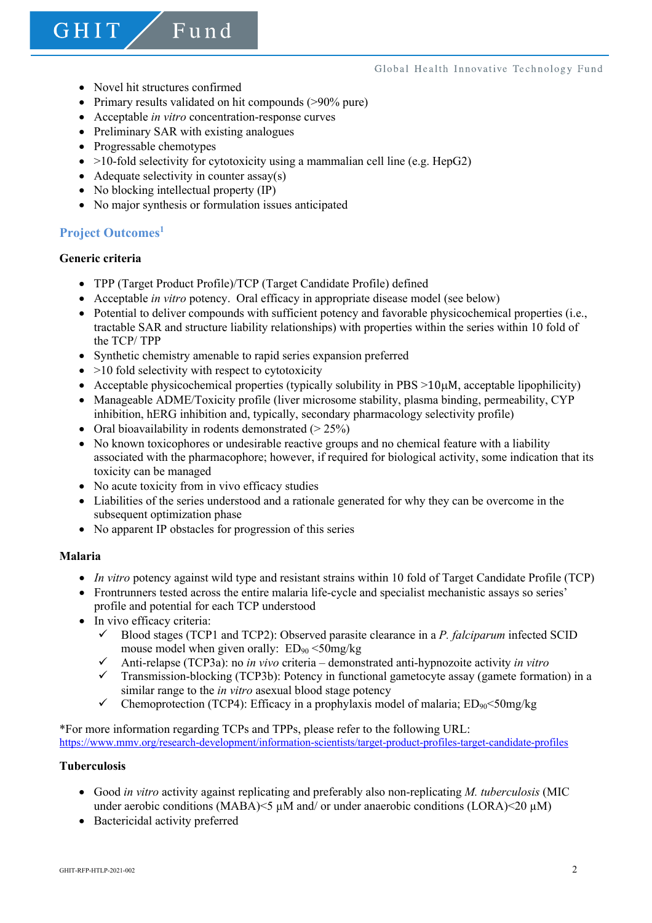- Novel hit structures confirmed
- Primary results validated on hit compounds (>90% pure)
- Acceptable *in vitro* concentration-response curves

Fund

- Preliminary SAR with existing analogues
- Progressable chemotypes
- $>10$ -fold selectivity for cytotoxicity using a mammalian cell line (e.g. HepG2)
- Adequate selectivity in counter assay(s)
- No blocking intellectual property (IP)
- No major synthesis or formulation issues anticipated

# **Project Outcomes<sup>1</sup>**

# **Generic criteria**

GHIT

- TPP (Target Product Profile)/TCP (Target Candidate Profile) defined
- Acceptable *in vitro* potency. Oral efficacy in appropriate disease model (see below)
- Potential to deliver compounds with sufficient potency and favorable physicochemical properties (i.e., tractable SAR and structure liability relationships) with properties within the series within 10 fold of the TCP/ TPP
- Synthetic chemistry amenable to rapid series expansion preferred
- $\bullet$  >10 fold selectivity with respect to cytotoxicity
- Acceptable physicochemical properties (typically solubility in PBS >10µM, acceptable lipophilicity)
- Manageable ADME/Toxicity profile (liver microsome stability, plasma binding, permeability, CYP inhibition, hERG inhibition and, typically, secondary pharmacology selectivity profile)
- Oral bioavailability in rodents demonstrated  $(> 25\%)$
- No known toxicophores or undesirable reactive groups and no chemical feature with a liability associated with the pharmacophore; however, if required for biological activity, some indication that its toxicity can be managed
- No acute toxicity from in vivo efficacy studies
- Liabilities of the series understood and a rationale generated for why they can be overcome in the subsequent optimization phase
- No apparent IP obstacles for progression of this series

#### **Malaria**

- *In vitro* potency against wild type and resistant strains within 10 fold of Target Candidate Profile (TCP)
- Frontrunners tested across the entire malaria life-cycle and specialist mechanistic assays so series' profile and potential for each TCP understood
- In vivo efficacy criteria:
	- $\checkmark$  Blood stages (TCP1 and TCP2): Observed parasite clearance in a *P. falciparum* infected SCID mouse model when given orally:  $ED_{90} < 50 \text{mg/kg}$
	- ü Anti-relapse (TCP3a): no *in vivo* criteria demonstrated anti-hypnozoite activity *in vitro*
	- ü Transmission-blocking (TCP3b): Potency in functional gametocyte assay (gamete formation) in a similar range to the *in vitro* asexual blood stage potency
	- Chemoprotection (TCP4): Efficacy in a prophylaxis model of malaria;  $ED_{90} < 50$ mg/kg

\*For more information regarding TCPs and TPPs, please refer to the following URL: https://www.mmv.org/research-development/information-scientists/target-product-profiles-target-candidate-profiles

#### **Tuberculosis**

- Good *in vitro* activity against replicating and preferably also non-replicating *M. tuberculosis* (MIC under aerobic conditions (MABA) $\leq$   $\mu$ M and/ or under anaerobic conditions (LORA) $\leq$ 20  $\mu$ M)
- Bactericidal activity preferred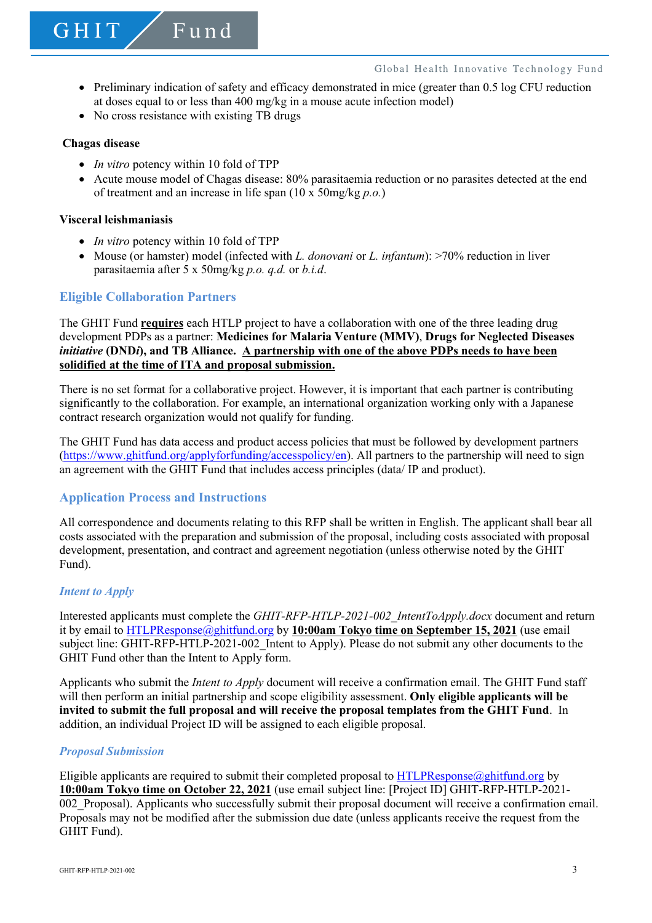- Preliminary indication of safety and efficacy demonstrated in mice (greater than 0.5 log CFU reduction at doses equal to or less than 400 mg/kg in a mouse acute infection model)
- No cross resistance with existing TB drugs

Fund

#### **Chagas disease**

GHIT

- *In vitro* potency within 10 fold of TPP
- Acute mouse model of Chagas disease: 80% parasitaemia reduction or no parasites detected at the end of treatment and an increase in life span (10 x 50mg/kg *p.o.*)

#### **Visceral leishmaniasis**

- *In vitro* potency within 10 fold of TPP
- Mouse (or hamster) model (infected with *L. donovani* or *L. infantum*): >70% reduction in liver parasitaemia after 5 x 50mg/kg *p.o. q.d.* or *b.i.d*.

# **Eligible Collaboration Partners**

The GHIT Fund **requires** each HTLP project to have a collaboration with one of the three leading drug development PDPs as a partner: **Medicines for Malaria Venture (MMV)**, **Drugs for Neglected Diseases**  *initiative* **(DND***i***), and TB Alliance. A partnership with one of the above PDPs needs to have been solidified at the time of ITA and proposal submission.**

There is no set format for a collaborative project. However, it is important that each partner is contributing significantly to the collaboration. For example, an international organization working only with a Japanese contract research organization would not qualify for funding.

The GHIT Fund has data access and product access policies that must be followed by development partners (https://www.ghitfund.org/applyforfunding/accesspolicy/en). All partners to the partnership will need to sign an agreement with the GHIT Fund that includes access principles (data/ IP and product).

### **Application Process and Instructions**

All correspondence and documents relating to this RFP shall be written in English. The applicant shall bear all costs associated with the preparation and submission of the proposal, including costs associated with proposal development, presentation, and contract and agreement negotiation (unless otherwise noted by the GHIT Fund).

#### *Intent to Apply*

Interested applicants must complete the *GHIT-RFP-HTLP-2021-002\_IntentToApply.docx* document and return it by email to HTLPResponse@ghitfund.org by **10:00am Tokyo time on September 15, 2021** (use email subject line: GHIT-RFP-HTLP-2021-002\_Intent to Apply). Please do not submit any other documents to the GHIT Fund other than the Intent to Apply form.

Applicants who submit the *Intent to Apply* document will receive a confirmation email. The GHIT Fund staff will then perform an initial partnership and scope eligibility assessment. **Only eligible applicants will be invited to submit the full proposal and will receive the proposal templates from the GHIT Fund**. In addition, an individual Project ID will be assigned to each eligible proposal.

#### *Proposal Submission*

Eligible applicants are required to submit their completed proposal to **HTLPResponse**@ghitfund.org by **10:00am Tokyo time on October 22, 2021** (use email subject line: [Project ID] GHIT-RFP-HTLP-2021- 002 Proposal). Applicants who successfully submit their proposal document will receive a confirmation email. Proposals may not be modified after the submission due date (unless applicants receive the request from the GHIT Fund).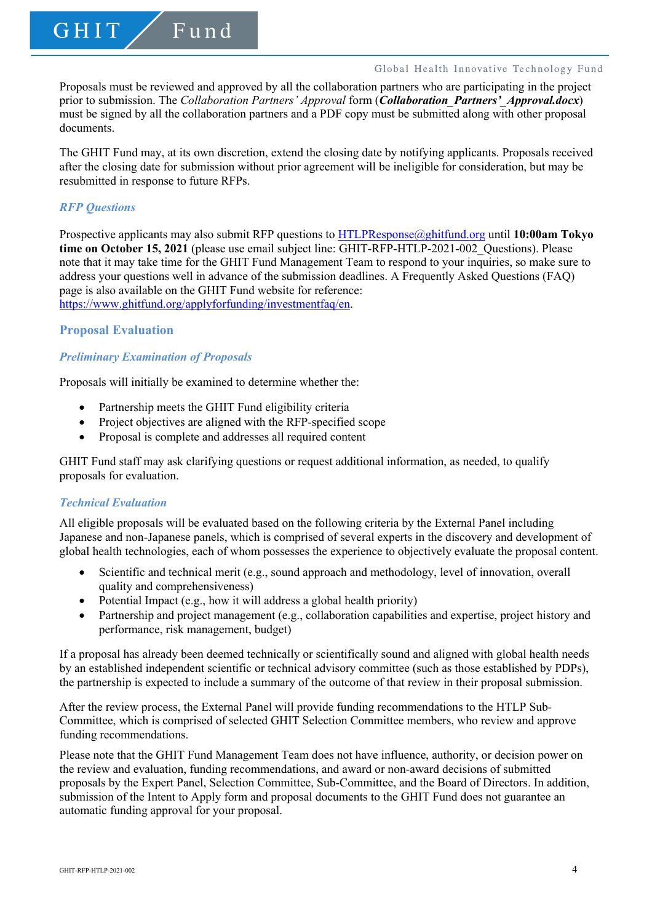Proposals must be reviewed and approved by all the collaboration partners who are participating in the project prior to submission. The *Collaboration Partners' Approval* form (*Collaboration\_Partners'\_Approval.docx*) must be signed by all the collaboration partners and a PDF copy must be submitted along with other proposal documents.

The GHIT Fund may, at its own discretion, extend the closing date by notifying applicants. Proposals received after the closing date for submission without prior agreement will be ineligible for consideration, but may be resubmitted in response to future RFPs.

#### *RFP Questions*

GHIT

Prospective applicants may also submit RFP questions to HTLPResponse@ghitfund.org until **10:00am Tokyo time on October 15, 2021** (please use email subject line: GHIT-RFP-HTLP-2021-002\_Questions). Please note that it may take time for the GHIT Fund Management Team to respond to your inquiries, so make sure to address your questions well in advance of the submission deadlines. A Frequently Asked Questions (FAQ) page is also available on the GHIT Fund website for reference: https://www.ghitfund.org/applyforfunding/investmentfaq/en.

#### **Proposal Evaluation**

#### *Preliminary Examination of Proposals*

Proposals will initially be examined to determine whether the:

Fund

- Partnership meets the GHIT Fund eligibility criteria
- Project objectives are aligned with the RFP-specified scope
- Proposal is complete and addresses all required content

GHIT Fund staff may ask clarifying questions or request additional information, as needed, to qualify proposals for evaluation.

#### *Technical Evaluation*

All eligible proposals will be evaluated based on the following criteria by the External Panel including Japanese and non-Japanese panels, which is comprised of several experts in the discovery and development of global health technologies, each of whom possesses the experience to objectively evaluate the proposal content.

- Scientific and technical merit (e.g., sound approach and methodology, level of innovation, overall quality and comprehensiveness)
- Potential Impact (e.g., how it will address a global health priority)
- Partnership and project management (e.g., collaboration capabilities and expertise, project history and performance, risk management, budget)

If a proposal has already been deemed technically or scientifically sound and aligned with global health needs by an established independent scientific or technical advisory committee (such as those established by PDPs), the partnership is expected to include a summary of the outcome of that review in their proposal submission.

After the review process, the External Panel will provide funding recommendations to the HTLP Sub-Committee, which is comprised of selected GHIT Selection Committee members, who review and approve funding recommendations.

Please note that the GHIT Fund Management Team does not have influence, authority, or decision power on the review and evaluation, funding recommendations, and award or non-award decisions of submitted proposals by the Expert Panel, Selection Committee, Sub-Committee, and the Board of Directors. In addition, submission of the Intent to Apply form and proposal documents to the GHIT Fund does not guarantee an automatic funding approval for your proposal.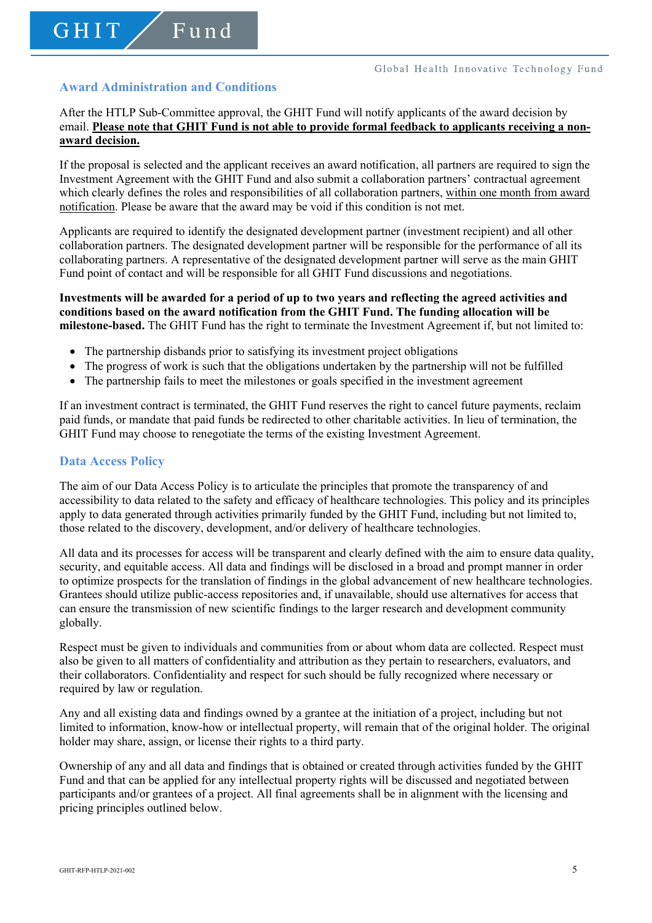# **Award Administration and Conditions**

GHIT

Fund

After the HTLP Sub-Committee approval, the GHIT Fund will notify applicants of the award decision by email. **Please note that GHIT Fund is not able to provide formal feedback to applicants receiving a nonaward decision.**

If the proposal is selected and the applicant receives an award notification, all partners are required to sign the Investment Agreement with the GHIT Fund and also submit a collaboration partners' contractual agreement which clearly defines the roles and responsibilities of all collaboration partners, within one month from award notification. Please be aware that the award may be void if this condition is not met.

Applicants are required to identify the designated development partner (investment recipient) and all other collaboration partners. The designated development partner will be responsible for the performance of all its collaborating partners. A representative of the designated development partner will serve as the main GHIT Fund point of contact and will be responsible for all GHIT Fund discussions and negotiations.

### **Investments will be awarded for a period of up to two years and reflecting the agreed activities and conditions based on the award notification from the GHIT Fund. The funding allocation will be milestone-based.** The GHIT Fund has the right to terminate the Investment Agreement if, but not limited to:

- The partnership disbands prior to satisfying its investment project obligations
- The progress of work is such that the obligations undertaken by the partnership will not be fulfilled
- The partnership fails to meet the milestones or goals specified in the investment agreement

If an investment contract is terminated, the GHIT Fund reserves the right to cancel future payments, reclaim paid funds, or mandate that paid funds be redirected to other charitable activities. In lieu of termination, the GHIT Fund may choose to renegotiate the terms of the existing Investment Agreement.

### **Data Access Policy**

The aim of our Data Access Policy is to articulate the principles that promote the transparency of and accessibility to data related to the safety and efficacy of healthcare technologies. This policy and its principles apply to data generated through activities primarily funded by the GHIT Fund, including but not limited to, those related to the discovery, development, and/or delivery of healthcare technologies.

All data and its processes for access will be transparent and clearly defined with the aim to ensure data quality, security, and equitable access. All data and findings will be disclosed in a broad and prompt manner in order to optimize prospects for the translation of findings in the global advancement of new healthcare technologies. Grantees should utilize public-access repositories and, if unavailable, should use alternatives for access that can ensure the transmission of new scientific findings to the larger research and development community globally.

Respect must be given to individuals and communities from or about whom data are collected. Respect must also be given to all matters of confidentiality and attribution as they pertain to researchers, evaluators, and their collaborators. Confidentiality and respect for such should be fully recognized where necessary or required by law or regulation.

Any and all existing data and findings owned by a grantee at the initiation of a project, including but not limited to information, know-how or intellectual property, will remain that of the original holder. The original holder may share, assign, or license their rights to a third party.

Ownership of any and all data and findings that is obtained or created through activities funded by the GHIT Fund and that can be applied for any intellectual property rights will be discussed and negotiated between participants and/or grantees of a project. All final agreements shall be in alignment with the licensing and pricing principles outlined below.